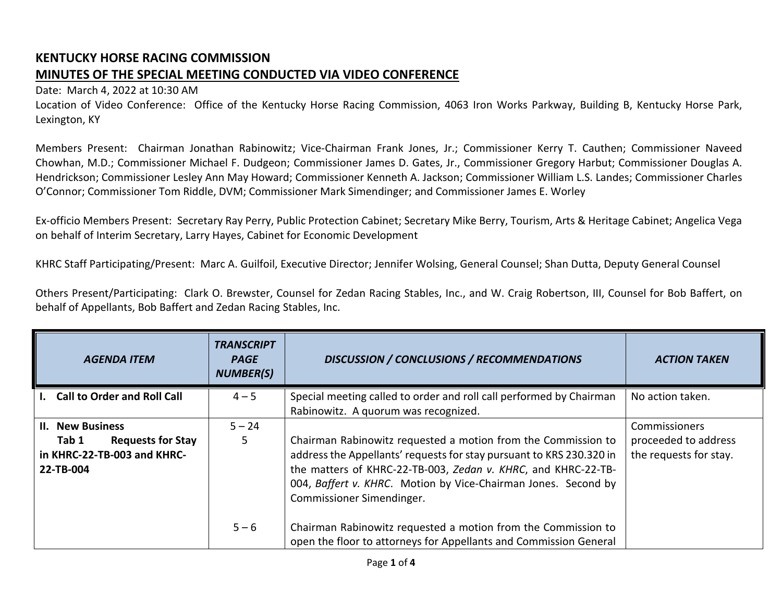## **KENTUCKY HORSE RACING COMMISSION MINUTES OF THE SPECIAL MEETING CONDUCTED VIA VIDEO CONFERENCE**

## Date: March 4, 2022 at 10:30 AM

Location of Video Conference: Office of the Kentucky Horse Racing Commission, 4063 Iron Works Parkway, Building B, Kentucky Horse Park, Lexington, KY

Members Present: Chairman Jonathan Rabinowitz; Vice-Chairman Frank Jones, Jr.; Commissioner Kerry T. Cauthen; Commissioner Naveed Chowhan, M.D.; Commissioner Michael F. Dudgeon; Commissioner James D. Gates, Jr., Commissioner Gregory Harbut; Commissioner Douglas A. Hendrickson; Commissioner Lesley Ann May Howard; Commissioner Kenneth A. Jackson; Commissioner William L.S. Landes; Commissioner Charles O'Connor; Commissioner Tom Riddle, DVM; Commissioner Mark Simendinger; and Commissioner James E. Worley

Ex-officio Members Present: Secretary Ray Perry, Public Protection Cabinet; Secretary Mike Berry, Tourism, Arts & Heritage Cabinet; Angelica Vega on behalf of Interim Secretary, Larry Hayes, Cabinet for Economic Development

KHRC Staff Participating/Present: Marc A. Guilfoil, Executive Director; Jennifer Wolsing, General Counsel; Shan Dutta, Deputy General Counsel

Others Present/Participating: Clark O. Brewster, Counsel for Zedan Racing Stables, Inc., and W. Craig Robertson, III, Counsel for Bob Baffert, on behalf of Appellants, Bob Baffert and Zedan Racing Stables, Inc.

| <b>AGENDA ITEM</b>                                                                                       | TRANSCRIPT<br><b>PAGE</b><br><b>NUMBER(S)</b> | <b>DISCUSSION / CONCLUSIONS / RECOMMENDATIONS</b>                                                                                                                                                                                                                                                     | <b>ACTION TAKEN</b>                                             |
|----------------------------------------------------------------------------------------------------------|-----------------------------------------------|-------------------------------------------------------------------------------------------------------------------------------------------------------------------------------------------------------------------------------------------------------------------------------------------------------|-----------------------------------------------------------------|
| I. Call to Order and Roll Call                                                                           | $4 - 5$                                       | Special meeting called to order and roll call performed by Chairman<br>Rabinowitz. A quorum was recognized.                                                                                                                                                                                           | No action taken.                                                |
| <b>II. New Business</b><br>Tab 1<br><b>Requests for Stay</b><br>in KHRC-22-TB-003 and KHRC-<br>22-TB-004 | $5 - 24$<br>5.                                | Chairman Rabinowitz requested a motion from the Commission to<br>address the Appellants' requests for stay pursuant to KRS 230.320 in<br>the matters of KHRC-22-TB-003, Zedan v. KHRC, and KHRC-22-TB-<br>004, Baffert v. KHRC. Motion by Vice-Chairman Jones. Second by<br>Commissioner Simendinger. | Commissioners<br>proceeded to address<br>the requests for stay. |
|                                                                                                          | $5 - 6$                                       | Chairman Rabinowitz requested a motion from the Commission to<br>open the floor to attorneys for Appellants and Commission General                                                                                                                                                                    |                                                                 |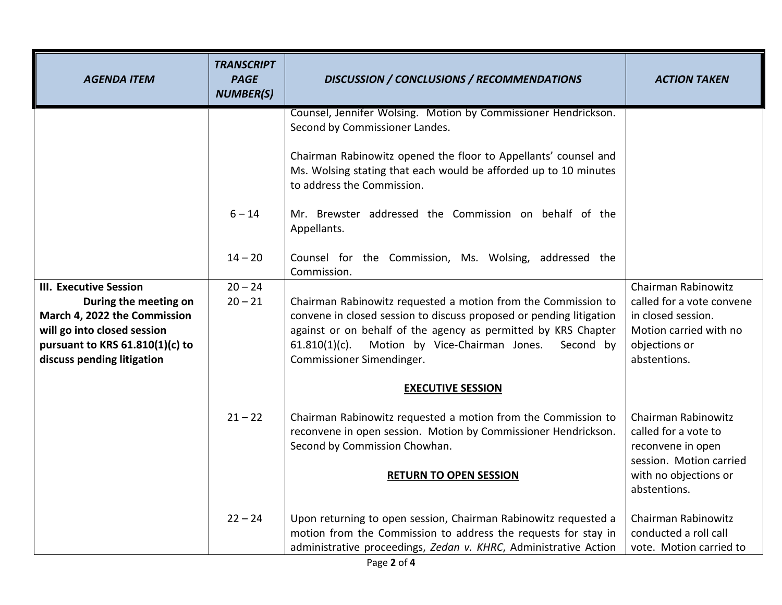| <b>AGENDA ITEM</b>                                              | <b>TRANSCRIPT</b><br><b>PAGE</b><br><b>NUMBER(S)</b> | <b>DISCUSSION / CONCLUSIONS / RECOMMENDATIONS</b>                                                                                                                                                     | <b>ACTION TAKEN</b>                                                                         |
|-----------------------------------------------------------------|------------------------------------------------------|-------------------------------------------------------------------------------------------------------------------------------------------------------------------------------------------------------|---------------------------------------------------------------------------------------------|
|                                                                 |                                                      | Counsel, Jennifer Wolsing. Motion by Commissioner Hendrickson.<br>Second by Commissioner Landes.<br>Chairman Rabinowitz opened the floor to Appellants' counsel and                                   |                                                                                             |
|                                                                 |                                                      | Ms. Wolsing stating that each would be afforded up to 10 minutes<br>to address the Commission.                                                                                                        |                                                                                             |
|                                                                 | $6 - 14$                                             | Mr. Brewster addressed the Commission on behalf of the<br>Appellants.                                                                                                                                 |                                                                                             |
|                                                                 | $14 - 20$                                            | Counsel for the Commission, Ms. Wolsing, addressed the<br>Commission.                                                                                                                                 |                                                                                             |
| <b>III. Executive Session</b>                                   | $20 - 24$                                            |                                                                                                                                                                                                       | Chairman Rabinowitz                                                                         |
| During the meeting on                                           | $20 - 21$                                            | Chairman Rabinowitz requested a motion from the Commission to                                                                                                                                         | called for a vote convene                                                                   |
| March 4, 2022 the Commission                                    |                                                      | convene in closed session to discuss proposed or pending litigation                                                                                                                                   | in closed session.                                                                          |
| will go into closed session                                     |                                                      | against or on behalf of the agency as permitted by KRS Chapter                                                                                                                                        | Motion carried with no                                                                      |
| pursuant to KRS $61.810(1)(c)$ to<br>discuss pending litigation |                                                      | Motion by Vice-Chairman Jones.<br>$61.810(1)(c)$ .<br>Second by<br>Commissioner Simendinger.                                                                                                          | objections or<br>abstentions.                                                               |
|                                                                 |                                                      | <b>EXECUTIVE SESSION</b>                                                                                                                                                                              |                                                                                             |
|                                                                 | $21 - 22$                                            | Chairman Rabinowitz requested a motion from the Commission to<br>reconvene in open session. Motion by Commissioner Hendrickson.<br>Second by Commission Chowhan.                                      | Chairman Rabinowitz<br>called for a vote to<br>reconvene in open<br>session. Motion carried |
|                                                                 |                                                      | <b>RETURN TO OPEN SESSION</b>                                                                                                                                                                         | with no objections or<br>abstentions.                                                       |
|                                                                 | $22 - 24$                                            | Upon returning to open session, Chairman Rabinowitz requested a<br>motion from the Commission to address the requests for stay in<br>administrative proceedings, Zedan v. KHRC, Administrative Action | Chairman Rabinowitz<br>conducted a roll call<br>vote. Motion carried to                     |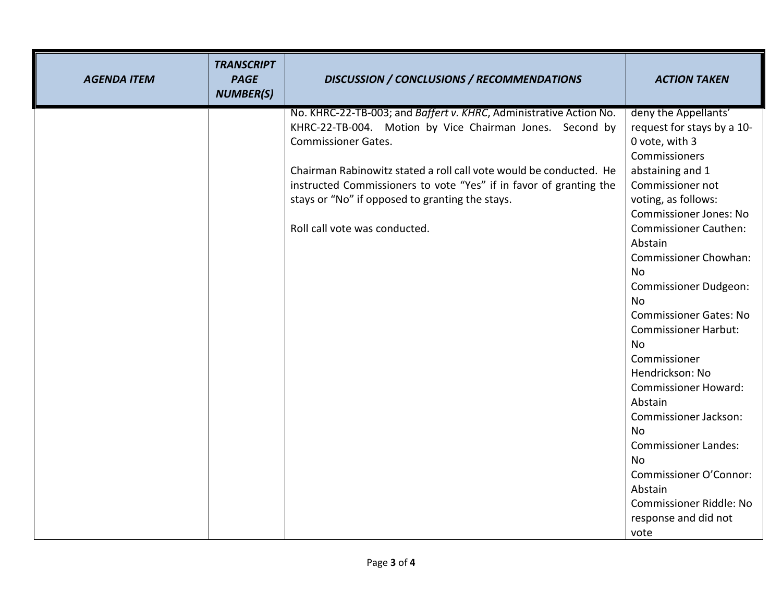| <b>AGENDA ITEM</b> | <b>TRANSCRIPT</b><br><b>PAGE</b><br><b>NUMBER(S)</b> | <b>DISCUSSION / CONCLUSIONS / RECOMMENDATIONS</b>                  | <b>ACTION TAKEN</b>                                  |
|--------------------|------------------------------------------------------|--------------------------------------------------------------------|------------------------------------------------------|
|                    |                                                      | No. KHRC-22-TB-003; and Baffert v. KHRC, Administrative Action No. | deny the Appellants'                                 |
|                    |                                                      | KHRC-22-TB-004. Motion by Vice Chairman Jones. Second by           | request for stays by a 10-                           |
|                    |                                                      | <b>Commissioner Gates.</b>                                         | 0 vote, with 3                                       |
|                    |                                                      | Chairman Rabinowitz stated a roll call vote would be conducted. He | Commissioners                                        |
|                    |                                                      |                                                                    | abstaining and 1<br>Commissioner not                 |
|                    |                                                      | instructed Commissioners to vote "Yes" if in favor of granting the |                                                      |
|                    |                                                      | stays or "No" if opposed to granting the stays.                    | voting, as follows:<br><b>Commissioner Jones: No</b> |
|                    |                                                      | Roll call vote was conducted.                                      | <b>Commissioner Cauthen:</b>                         |
|                    |                                                      |                                                                    | Abstain                                              |
|                    |                                                      |                                                                    | <b>Commissioner Chowhan:</b>                         |
|                    |                                                      |                                                                    | No                                                   |
|                    |                                                      |                                                                    | <b>Commissioner Dudgeon:</b>                         |
|                    |                                                      |                                                                    | <b>No</b>                                            |
|                    |                                                      |                                                                    | <b>Commissioner Gates: No</b>                        |
|                    |                                                      |                                                                    | <b>Commissioner Harbut:</b>                          |
|                    |                                                      |                                                                    | <b>No</b>                                            |
|                    |                                                      |                                                                    | Commissioner                                         |
|                    |                                                      |                                                                    | Hendrickson: No                                      |
|                    |                                                      |                                                                    | <b>Commissioner Howard:</b>                          |
|                    |                                                      |                                                                    | Abstain                                              |
|                    |                                                      |                                                                    | <b>Commissioner Jackson:</b>                         |
|                    |                                                      |                                                                    | No                                                   |
|                    |                                                      |                                                                    | <b>Commissioner Landes:</b>                          |
|                    |                                                      |                                                                    | <b>No</b>                                            |
|                    |                                                      |                                                                    | Commissioner O'Connor:                               |
|                    |                                                      |                                                                    | Abstain                                              |
|                    |                                                      |                                                                    | <b>Commissioner Riddle: No</b>                       |
|                    |                                                      |                                                                    | response and did not<br>vote                         |
|                    |                                                      |                                                                    |                                                      |